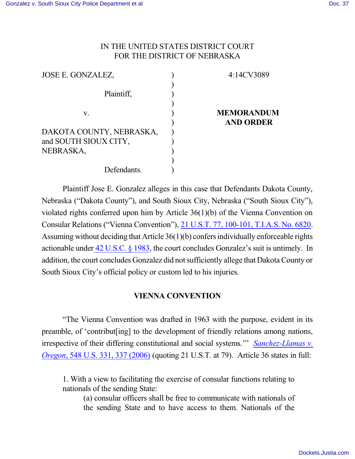## IN THE UNITED STATES DISTRICT COURT FOR THE DISTRICT OF NEBRASKA

| JOSE E. GONZALEZ,        | 4:14CV3089        |
|--------------------------|-------------------|
| Plaintiff,               |                   |
| V.                       | <b>MEMORANDUM</b> |
|                          | <b>AND ORDER</b>  |
| DAKOTA COUNTY, NEBRASKA, |                   |
| and SOUTH SIOUX CITY,    |                   |
| NEBRASKA,                |                   |
|                          |                   |
| Defendants.              |                   |

Plaintiff Jose E. Gonzalez alleges in this case that Defendants Dakota County, Nebraska ("Dakota County"), and South Sioux City, Nebraska ("South Sioux City"), violated rights conferred upon him by Article 36(1)(b) of the Vienna Convention on Consular Relations ("Vienna Convention"), 21 U.S.T. 77, [100-101,](https://a.next.westlaw.com/Link/Document/FullText?findType=Y&serNum=1969090950&pubNum=0006792&originatingDoc=Ia4cd65b8067b11db8b56def3c325596e&refType=CA&originationContext=document&transitionType=DocumentItem&contextData=(sc.Default)) T.I.A.S. No. 6820. Assuming without deciding that Article 36(1)(b) confersindividually enforceable rights actionable under 42 [U.S.C.](file:///|//https///a.next.westlaw.com/Document/NDFE80F60AFF711D8803AE0632FEDDFBF/View/FullText.html?navigationPath=Search%2Fv3%2Fsearch%2Fresults%2Fnavigation%2Fi0ad7052100000150ba1ceeda3c1f6549%3FNav%3DMULTIPLECITATIONS%26fragmentIdentifier%3DNDFE80F60AFF711D8803AE0632) § 1983, the court concludes Gonzalez's suit is untimely. In addition, the court concludes Gonzalez did not sufficiently allege that Dakota County or South Sioux City's official policy or custom led to his injuries.

# **VIENNA CONVENTION**

"The Vienna Convention was drafted in 1963 with the purpose, evident in its preamble, of 'contribut[ing] to the development of friendly relations among nations, irrespective of their differing constitutional and social systems.'" *[Sanchez-Llamas](http://westlaw.com/find/default.wl?ft=Y&referencepositiontype=S&rs=btil2.0&rp=%2ffind%2fdefault.wl&serialnum=2009449760&fn=_top&referenceposition=337&findtype=Y&vr=2.0&db=0000780&wbtoolsId=2009449760&HistoryType=F) v. [Oregon](http://westlaw.com/find/default.wl?ft=Y&referencepositiontype=S&rs=btil2.0&rp=%2ffind%2fdefault.wl&serialnum=2009449760&fn=_top&referenceposition=337&findtype=Y&vr=2.0&db=0000780&wbtoolsId=2009449760&HistoryType=F)*, 548 U.S. 331, 337 (2006) (quoting 21 U.S.T. at 79). Article 36 states in full:

1. With a view to facilitating the exercise of consular functions relating to nationals of the sending State:

(a) consular officers shall be free to communicate with nationals of the sending State and to have access to them. Nationals of the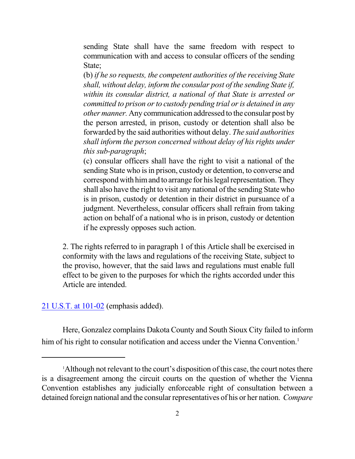sending State shall have the same freedom with respect to communication with and access to consular officers of the sending State;

(b) *if he so requests, the competent authorities of the receiving State shall, without delay, inform the consular post of the sending State if, within its consular district, a national of that State is arrested or committed to prison or to custody pending trial or is detained in any other manner.* Any communication addressed to the consular post by the person arrested, in prison, custody or detention shall also be forwarded by the said authorities without delay. *The said authorities shall inform the person concerned without delay of his rights under this sub-paragraph*;

(c) consular officers shall have the right to visit a national of the sending State who is in prison, custody or detention, to converse and correspond with him and to arrange for his legal representation. They shall also have the right to visit any national of the sending State who is in prison, custody or detention in their district in pursuance of a judgment. Nevertheless, consular officers shall refrain from taking action on behalf of a national who is in prison, custody or detention if he expressly opposes such action.

2. The rights referred to in paragraph 1 of this Article shall be exercised in conformity with the laws and regulations of the receiving State, subject to the proviso, however, that the said laws and regulations must enable full effect to be given to the purposes for which the rights accorded under this Article are intended.

#### 21 U.S.T. at [101-02](https://a.next.westlaw.com/Link/Document/FullText?findType=Y&serNum=1969090950&pubNum=0006792&originatingDoc=Ia4cd65b8067b11db8b56def3c325596e&refType=CA&originationContext=document&transitionType=DocumentItem&contextData=(sc.Default)) (emphasis added).

Here, Gonzalez complains Dakota County and South Sioux City failed to inform him of his right to consular notification and access under the Vienna Convention. 1

<sup>&</sup>lt;sup>1</sup>Although not relevant to the court's disposition of this case, the court notes there is a disagreement among the circuit courts on the question of whether the Vienna Convention establishes any judicially enforceable right of consultation between a detained foreign national and the consular representatives of his or her nation. *Compare*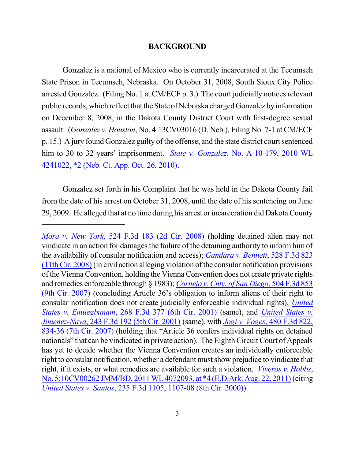#### **BACKGROUND**

Gonzalez is a national of Mexico who is currently incarcerated at the Tecumseh State Prison in Tecumseh, Nebraska. On October 31, 2008, South Sioux City Police arrested Gonzalez. (Filing No. [1](https://ecf.ned.uscourts.gov/doc1/11313017075) at CM/ECF  $p. 3$ .) The court judicially notices relevant public records, which reflect that the State of Nebraska charged Gonzalez by information on December 8, 2008, in the Dakota County District Court with first-degree sexual assault. (*Gonzalez v. Houston*, No. 4:13CV03016 (D. Neb.), Filing No. 7-1 at CM/ECF p. 15.) A jury found Gonzalez guilty of the offense, and the state district court sentenced him to 30 to 32 years' imprisonment. *State [v. Gonzalez](https://a.next.westlaw.com/Document/I5a007b85e2a011df84cb933efb759da4/View/FullText.html?transitionType=UniqueDocItem&contextData=(sc.UserEnteredCitation)&userEnteredCitation=2010+WL+4241022)*, No. A-10-179, 2010 WL [4241022,](https://a.next.westlaw.com/Document/I5a007b85e2a011df84cb933efb759da4/View/FullText.html?transitionType=UniqueDocItem&contextData=(sc.UserEnteredCitation)&userEnteredCitation=2010+WL+4241022) \*2 (Neb. Ct. App. Oct. 26, 2010).

Gonzalez set forth in his Complaint that he was held in the Dakota County Jail from the date of his arrest on October 31, 2008, until the date of his sentencing on June 29, 2009. He alleged that at no time during his arrest or incarceration did Dakota County

*Mora [v. New](http://westlaw.com/find/default.wl?ft=Y&referencepositiontype=S&rs=btil2.0&rp=%2ffind%2fdefault.wl&serialnum=2015870082&fn=_top&referenceposition=196&findtype=Y&vr=2.0&db=0000506&wbtoolsId=2015870082&HistoryType=F) York*, 524 F.3d 183 (2d Cir. 2008) (holding detained alien may not vindicate in an action for damages the failure of the detaining authority to inform him of the availability of consular notification and access); *[Gandara](http://westlaw.com/find/default.wl?ft=Y&referencepositiontype=S&rs=btil2.0&rp=%2ffind%2fdefault.wl&serialnum=2016146673&fn=_top&referenceposition=827&findtype=Y&vr=2.0&db=0000506&wbtoolsId=2016146673&HistoryType=F) v. Bennett*, 528 F.3d 823  $(11th Cir, 2008)$  $(11th Cir, 2008)$  (in civil action alleging violation of the consular notification provisions ofthe ViennaConvention, holding the ViennaConvention does not create private rights and remedies enforceable through § 1983); *[Cornejo](http://westlaw.com/find/default.wl?ft=Y&referencepositiontype=S&rs=btil2.0&rp=%2ffind%2fdefault.wl&serialnum=2013249804&fn=_top&referenceposition=855&findtype=Y&vr=2.0&db=0000506&wbtoolsId=2013249804&HistoryType=F) v.Cnty. of San Diego*, 504 F.3d 853 (9th Cir. [2007\)](http://westlaw.com/find/default.wl?ft=Y&referencepositiontype=S&rs=btil2.0&rp=%2ffind%2fdefault.wl&serialnum=2013249804&fn=_top&referenceposition=855&findtype=Y&vr=2.0&db=0000506&wbtoolsId=2013249804&HistoryType=F) (concluding Article 36's obligation to inform aliens of their right to consular notification does not create judicially enforceable individual rights), *[United](http://westlaw.com/find/default.wl?ft=Y&referencepositiontype=S&rs=btil2.0&rp=%2ffind%2fdefault.wl&serialnum=2001849049&fn=_top&referenceposition=392&findtype=Y&vr=2.0&db=0000506&wbtoolsId=2001849049&HistoryType=F) States v. [Emuegbunam](http://westlaw.com/find/default.wl?ft=Y&referencepositiontype=S&rs=btil2.0&rp=%2ffind%2fdefault.wl&serialnum=2001849049&fn=_top&referenceposition=392&findtype=Y&vr=2.0&db=0000506&wbtoolsId=2001849049&HistoryType=F)*, 268 F.3d 377 (6th Cir. 2001) (same), and *[United](http://westlaw.com/find/default.wl?ft=Y&referencepositiontype=S&rs=btil2.0&rp=%2ffind%2fdefault.wl&serialnum=2001175511&fn=_top&referenceposition=198&findtype=Y&vr=2.0&db=0000506&wbtoolsId=2001175511&HistoryType=F) States v. [Jimenez-Nava](http://westlaw.com/find/default.wl?ft=Y&referencepositiontype=S&rs=btil2.0&rp=%2ffind%2fdefault.wl&serialnum=2001175511&fn=_top&referenceposition=198&findtype=Y&vr=2.0&db=0000506&wbtoolsId=2001175511&HistoryType=F)*, 243 F.3d 192 (5th Cir. 2001) (same), with *Jogi v. [Voges](http://westlaw.com/find/default.wl?ft=Y&referencepositiontype=S&rs=btil2.0&rp=%2ffind%2fdefault.wl&serialnum=2011655679&fn=_top&referenceposition=834&findtype=Y&vr=2.0&db=0000506&wbtoolsId=2011655679&HistoryType=F)*, 480 F.3d 822, [834-36](http://westlaw.com/find/default.wl?ft=Y&referencepositiontype=S&rs=btil2.0&rp=%2ffind%2fdefault.wl&serialnum=2011655679&fn=_top&referenceposition=834&findtype=Y&vr=2.0&db=0000506&wbtoolsId=2011655679&HistoryType=F) (7th Cir. 2007) (holding that "Article 36 confers individual rights on detained nationals" that can be vindicated in private action). The Eighth Circuit Court of Appeals has yet to decide whether the Vienna Convention creates an individually enforceable right to consular notification, whether a defendant must show prejudice to vindicate that right, if it exists, or what remedies are available for such a violation. *[Viveros](http://westlaw.com/find/default.wl?ft=Y&db=0000999&rs=btil2.0&rp=%2ffind%2fdefault.wl&serialnum=2026149297&fn=_top&findtype=Y&vr=2.0&wbtoolsId=2026149297&HistoryType=F) v. Hobbs*, No. 5:10CV00262 JMM/BD, 2011 WL 4072093, at \*4 (E.D.Ark. Aug. 22, 2011) (citing *United States v. Santos*, 235 F.3d 1105, [1107-08](http://westlaw.com/find/default.wl?ft=Y&referencepositiontype=S&rs=btil2.0&rp=%2ffind%2fdefault.wl&serialnum=2001045540&fn=_top&referenceposition=1107&findtype=Y&vr=2.0&db=0000506&wbtoolsId=2001045540&HistoryType=F) (8th Cir. 2000)).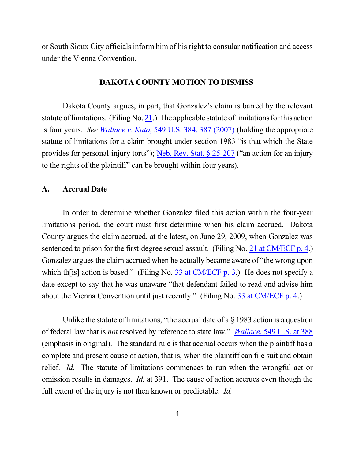or South Sioux City officials inform him of his right to consular notification and access under the Vienna Convention.

## **DAKOTA COUNTY MOTION TO DISMISS**

Dakota County argues, in part, that Gonzalez's claim is barred by the relevant statute of limitations. (Filing No. [21](http://ecf.ned.uscourts.gov/doc1/11313223959).) The applicable statute of limitations for this action is four years. *See Wallace v. Kato*, 549 U.S. 384, [387 \(2007\)](https://a.next.westlaw.com/Document/I2fa5cde8c13e11dba2ddcd05d6647594/View/FullText.html?transitionType=UniqueDocItem&contextData=(sc.UserEnteredCitation)&userEnteredCitation=549+us+384) (holding the appropriate statute of limitations for a claim brought under section 1983 "is that which the State provides for personal-injury torts"); [Neb. Rev.](http://westlaw.com/find/default.wl?ft=L&docname=NESTS25-207&rs=btil2.0&rp=%2ffind%2fdefault.wl&fn=_top&findtype=L&vr=2.0&db=1000257&wbtoolsId=NESTS25-207&HistoryType=F) Stat. § 25-207 ("an action for an injury to the rights of the plaintiff" can be brought within four years).

## **A. Accrual Date**

In order to determine whether Gonzalez filed this action within the four-year limitations period, the court must first determine when his claim accrued. Dakota County argues the claim accrued, at the latest, on June 29, 2009, when Gonzalez was sentenced to prison for the first-degree sexual assault. (Filing No. 21 at [CM/ECF](http://ecf.ned.uscourts.gov/doc1/11313223959?page=4) p. 4.) Gonzalez argues the claim accrued when he actually became aware of "the wrong upon which th<sup>[is]</sup> action is based." (Filing No. 33 at [CM/ECF](http://ecf.ned.uscourts.gov/doc1/11313372983?page=3) p. 3.) He does not specify a date except to say that he was unaware "that defendant failed to read and advise him about the Vienna Convention until just recently." (Filing No. 33 at [CM/ECF](http://ecf.ned.uscourts.gov/doc1/11313372983?page=4) p. 4.)

Unlike the statute of limitations, "the accrual date of a  $\S$  1983 action is a question of federal law that is *not* resolved by reference to state law." *[Wallace](https://a.next.westlaw.com/Document/I2fa5cde8c13e11dba2ddcd05d6647594/View/FullText.html?transitionType=UniqueDocItem&contextData=(sc.UserEnteredCitation)&userEnteredCitation=549+us+384)*, 549 U.S. at 388 (emphasis in original). The standard rule is that accrual occurs when the plaintiff has a complete and present cause of action, that is, when the plaintiff can file suit and obtain relief. *Id.* The statute of limitations commences to run when the wrongful act or omission results in damages. *Id.* at 391. The cause of action accrues even though the full extent of the injury is not then known or predictable. *Id.*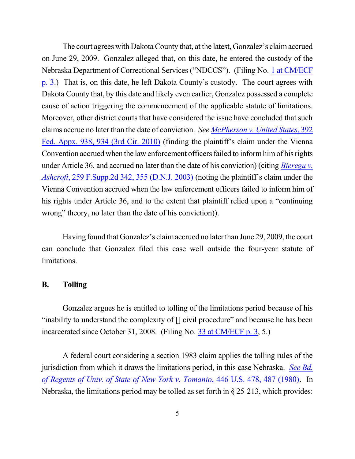The court agrees with Dakota County that, at the latest, Gonzalez's claim accrued on June 29, 2009. Gonzalez alleged that, on this date, he entered the custody of the Nebraska Department of Correctional Services ("NDCCS"). (Filing No. 1 at [CM/ECF](http://ecf.ned.uscourts.gov/doc1/11313017075?page=3) [p.](http://ecf.ned.uscourts.gov/doc1/11313017075?page=3) 3.) That is, on this date, he left Dakota County's custody. The court agrees with Dakota County that, by this date and likely even earlier, Gonzalez possessed a complete cause of action triggering the commencement of the applicable statute of limitations. Moreover, other district courts that have considered the issue have concluded that such claims accrue no later than the date of conviction. *See [McPherson](https://a.next.westlaw.com/Document/Ie33813ffb73f11df84cb933efb759da4/View/FullText.html?transitionType=UniqueDocItem&contextData=(sc.UserEnteredCitation)&userEnteredCitation=392+Fed.+Appx.+938) v. United States*, 392 Fed. [Appx.](https://a.next.westlaw.com/Document/Ie33813ffb73f11df84cb933efb759da4/View/FullText.html?transitionType=UniqueDocItem&contextData=(sc.UserEnteredCitation)&userEnteredCitation=392+Fed.+Appx.+938) 938, 934 (3rd Cir. 2010) (finding the plaintiff's claim under the Vienna Convention accrued when the law enforcement officers failed to inform him of his rights under Article 36, and accrued no later than the date of his conviction) (citing *[Bieregu](https://a.next.westlaw.com/Document/Ie33813ffb73f11df84cb933efb759da4/View/FullText.html?transitionType=UniqueDocItem&contextData=(sc.UserEnteredCitation)&userEnteredCitation=392+Fed.+Appx.+938) v. Ashcroft*, 259 [F.Supp.2d](https://a.next.westlaw.com/Document/Ie33813ffb73f11df84cb933efb759da4/View/FullText.html?transitionType=UniqueDocItem&contextData=(sc.UserEnteredCitation)&userEnteredCitation=392+Fed.+Appx.+938) 342, 355 (D.N.J. 2003) (noting the plaintiff's claim under the Vienna Convention accrued when the law enforcement officers failed to inform him of his rights under Article 36, and to the extent that plaintiff relied upon a "continuing wrong" theory, no later than the date of his conviction)).

Having found that Gonzalez's claim accrued no later than June 29, 2009, the court can conclude that Gonzalez filed this case well outside the four-year statute of limitations.

#### **B. Tolling**

Gonzalez argues he is entitled to tolling of the limitations period because of his "inability to understand the complexity of [] civil procedure" and because he has been incarcerated since October 31, 2008. (Filing No. 33 at [CM/ECF](http://ecf.ned.uscourts.gov/doc1/11313372983?page=3) p. 3, 5.)

A federal court considering a section 1983 claim applies the tolling rules of the jurisdiction from which it draws the limitations period, in this case Nebraska. *[See](https://a.next.westlaw.com/Document/Ic1cfbffa9c1e11d991d0cc6b54f12d4d/View/FullText.html?transitionType=UniqueDocItem&contextData=(sc.DocLink)&userEnteredCitation=446+U.S.+478) Bd. of Regents of Univ. of State of New York v. [Tomanio](https://a.next.westlaw.com/Document/Ic1cfbffa9c1e11d991d0cc6b54f12d4d/View/FullText.html?transitionType=UniqueDocItem&contextData=(sc.DocLink)&userEnteredCitation=446+U.S.+478)*, 446 U.S. 478, 487 (1980). In Nebraska, the limitations period may be tolled as set forth in § 25-213, which provides: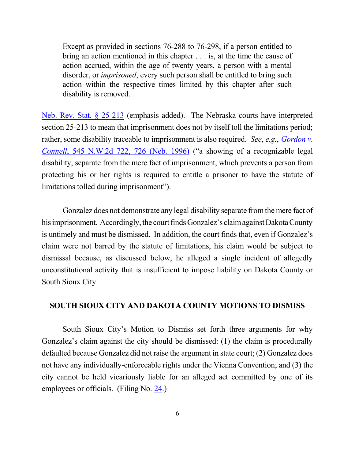Except as provided in sections 76-288 to 76-298, if a person entitled to bring an action mentioned in this chapter . . . is, at the time the cause of action accrued, within the age of twenty years, a person with a mental disorder, or *imprisoned*, every such person shall be entitled to bring such action within the respective times limited by this chapter after such disability is removed.

[Neb. Rev.](https://a.next.westlaw.com/Document/NE4441CC0AEBB11DEA0C8A10D09B7A847/View/FullText.html?transitionType=UniqueDocItem&contextData=(sc.UserEnteredCitation)&userEnteredCitation=Neb.+Rev.+Stat.+s+25-213) Stat. § 25-213 (emphasis added). The Nebraska courts have interpreted section 25-213 to mean that imprisonment does not by itself toll the limitations period; rather, some disability traceable to imprisonment is also required. *See*, *e.g.*, *[Gordon](https://a.next.westlaw.com/Document/I8d10471dff4911d983e7e9deff98dc6f/View/FullText.html?transitionType=UniqueDocItem&contextData=(sc.UserEnteredCitation)&userEnteredCitation=545+nw2d+722) v. [Connell](https://a.next.westlaw.com/Document/I8d10471dff4911d983e7e9deff98dc6f/View/FullText.html?transitionType=UniqueDocItem&contextData=(sc.UserEnteredCitation)&userEnteredCitation=545+nw2d+722)*, 545 N.W.2d 722, 726 (Neb. 1996) ("a showing of a recognizable legal disability, separate from the mere fact of imprisonment, which prevents a person from protecting his or her rights is required to entitle a prisoner to have the statute of limitations tolled during imprisonment").

Gonzalez does not demonstrate any legal disability separate fromthe mere fact of his imprisonment. Accordingly, the court finds Gonzalez's claim against Dakota County is untimely and must be dismissed. In addition, the court finds that, even if Gonzalez's claim were not barred by the statute of limitations, his claim would be subject to dismissal because, as discussed below, he alleged a single incident of allegedly unconstitutional activity that is insufficient to impose liability on Dakota County or South Sioux City.

#### **SOUTH SIOUX CITY AND DAKOTA COUNTY MOTIONS TO DISMISS**

South Sioux City's Motion to Dismiss set forth three arguments for why Gonzalez's claim against the city should be dismissed: (1) the claim is procedurally defaulted because Gonzalez did not raise the argument in state court; (2) Gonzalez does not have any individually-enforceable rights under the Vienna Convention; and (3) the city cannot be held vicariously liable for an alleged act committed by one of its employees or officials. (Filing No. [24](http://ecf.ned.uscourts.gov/doc1/11313229958).)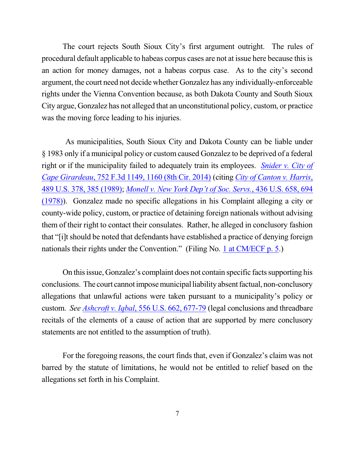The court rejects South Sioux City's first argument outright. The rules of procedural default applicable to habeas corpus cases are not at issue here because thisis an action for money damages, not a habeas corpus case. As to the city's second argument, the court need not decide whether Gonzalez has any individually-enforceable rights under the Vienna Convention because, as both Dakota County and South Sioux City argue, Gonzalez has not alleged that an unconstitutional policy, custom, or practice was the moving force leading to his injuries.

As municipalities, South Sioux City and Dakota County can be liable under § 1983 only if a municipal policy or custom caused Gonzalez to be deprived of a federal right or if the municipality failed to adequately train its employees. *[Snider](https://a.next.westlaw.com/Document/I6d61fb5ee84d11e3b4bafa136b480ad2/View/FullText.html?transitionType=UniqueDocItem&contextData=(sc.UserEnteredCitation)&userEnteredCitation=752+f3d+1149) v. City of Cape [Girardeau](https://a.next.westlaw.com/Document/I6d61fb5ee84d11e3b4bafa136b480ad2/View/FullText.html?transitionType=UniqueDocItem&contextData=(sc.UserEnteredCitation)&userEnteredCitation=752+f3d+1149)*, 752 F.3d 1149, 1160 (8th Cir. 2014) (citing *City of [Canton](https://a.next.westlaw.com/Link/Document/FullText?findType=Y&serNum=1989029971&pubNum=0000708&originatingDoc=I6d61fb5ee84d11e3b4bafa136b480ad2&refType=RP&originationContext=document&transitionType=DocumentItem&contextData=(sc.UserEnteredCitation)) v. Harris*, 489 U.S. 378, 385 [\(1989\)](https://a.next.westlaw.com/Link/Document/FullText?findType=Y&serNum=1989029971&pubNum=0000708&originatingDoc=I6d61fb5ee84d11e3b4bafa136b480ad2&refType=RP&originationContext=document&transitionType=DocumentItem&contextData=(sc.UserEnteredCitation)); *[Monell](https://a.next.westlaw.com/Link/Document/FullText?findType=Y&serNum=1978114250&pubNum=0000708&originatingDoc=I6d61fb5ee84d11e3b4bafa136b480ad2&refType=RP&originationContext=document&transitionType=DocumentItem&contextData=(sc.UserEnteredCitation)) v. New York Dep't of Soc. Servs.*, 436 U.S. 658, 694 [\(1978\)](https://a.next.westlaw.com/Link/Document/FullText?findType=Y&serNum=1978114250&pubNum=0000708&originatingDoc=I6d61fb5ee84d11e3b4bafa136b480ad2&refType=RP&originationContext=document&transitionType=DocumentItem&contextData=(sc.UserEnteredCitation))). Gonzalez made no specific allegations in his Complaint alleging a city or county-wide policy, custom, or practice of detaining foreign nationals without advising them of their right to contact their consulates. Rather, he alleged in conclusory fashion that "[i]tshould be noted that defendants have established a practice of denying foreign nationals their rights under the Convention." (Filing No. 1 at [CM/ECF](http://ecf.ned.uscourts.gov/doc1/11313017075?page=5) p. 5.)

On this issue, Gonzalez's complaint does not contain specific facts supporting his conclusions. The court cannot impose municipal liability absent factual, non-conclusory allegations that unlawful actions were taken pursuant to a municipality's policy or custom. *See [Ashcroft](https://a.next.westlaw.com/Document/I90623386439011de8bf6cd8525c41437/View/FullText.html?transitionType=UniqueDocItem&contextData=(sc.DocLink)&userEnteredCitation=556+us+662) v. Iqbal*, 556 U.S. 662, 677-79 (legal conclusions and threadbare recitals of the elements of a cause of action that are supported by mere conclusory statements are not entitled to the assumption of truth).

For the foregoing reasons, the court finds that, even if Gonzalez's claim was not barred by the statute of limitations, he would not be entitled to relief based on the allegations set forth in his Complaint.